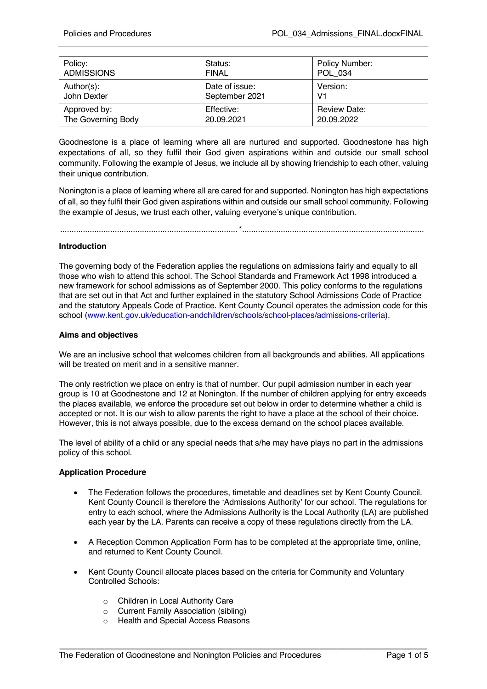| Policy:            | Status:        | Policy Number:      |
|--------------------|----------------|---------------------|
| <b>ADMISSIONS</b>  | <b>FINAL</b>   | POL 034             |
| Author(s):         | Date of issue: | Version:            |
| John Dexter        | September 2021 | V <sub>1</sub>      |
| Approved by:       | Effective:     | <b>Review Date:</b> |
| The Governing Body | 20.09.2021     | 20.09.2022          |

Goodnestone is a place of learning where all are nurtured and supported. Goodnestone has high expectations of all, so they fulfil their God given aspirations within and outside our small school community. Following the example of Jesus, we include all by showing friendship to each other, valuing their unique contribution.

Nonington is a place of learning where all are cared for and supported. Nonington has high expectations of all, so they fulfil their God given aspirations within and outside our small school community. Following the example of Jesus, we trust each other, valuing everyone's unique contribution.

..............................................................................\*................................................................................

## **Introduction**

The governing body of the Federation applies the regulations on admissions fairly and equally to all those who wish to attend this school. The School Standards and Framework Act 1998 introduced a new framework for school admissions as of September 2000. This policy conforms to the regulations that are set out in that Act and further explained in the statutory School Admissions Code of Practice and the statutory Appeals Code of Practice. Kent County Council operates the admission code for this school (www.kent.gov.uk/education-andchildren/schools/school-places/admissions-criteria).

#### **Aims and objectives**

We are an inclusive school that welcomes children from all backgrounds and abilities. All applications will be treated on merit and in a sensitive manner.

The only restriction we place on entry is that of number. Our pupil admission number in each year group is 10 at Goodnestone and 12 at Nonington. If the number of children applying for entry exceeds the places available, we enforce the procedure set out below in order to determine whether a child is accepted or not. It is our wish to allow parents the right to have a place at the school of their choice. However, this is not always possible, due to the excess demand on the school places available.

The level of ability of a child or any special needs that s/he may have plays no part in the admissions policy of this school.

#### **Application Procedure**

- The Federation follows the procedures, timetable and deadlines set by Kent County Council. Kent County Council is therefore the 'Admissions Authority' for our school. The regulations for entry to each school, where the Admissions Authority is the Local Authority (LA) are published each year by the LA. Parents can receive a copy of these regulations directly from the LA.
- A Reception Common Application Form has to be completed at the appropriate time, online, and returned to Kent County Council.
- Kent County Council allocate places based on the criteria for Community and Voluntary Controlled Schools:

- o Children in Local Authority Care
- o Current Family Association (sibling)
- o Health and Special Access Reasons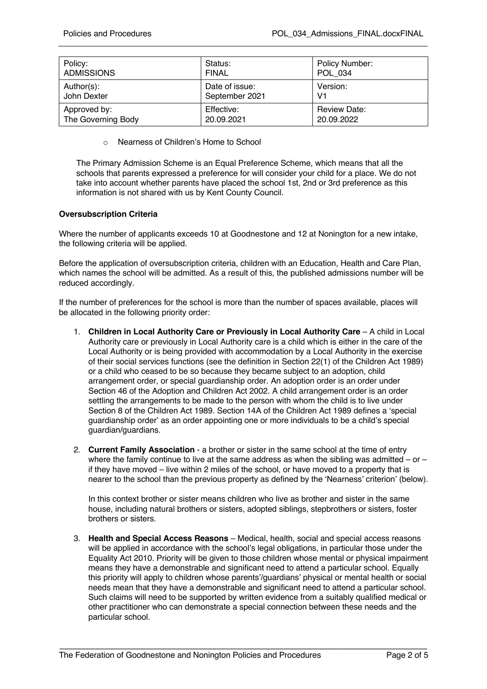| Policy:            | Status:        | Policy Number:      |
|--------------------|----------------|---------------------|
| <b>ADMISSIONS</b>  | <b>FINAL</b>   | POL 034             |
| Author(s):         | Date of issue: | Version:            |
| John Dexter        | September 2021 | V1                  |
| Approved by:       | Effective:     | <b>Review Date:</b> |
| The Governing Body | 20.09.2021     | 20.09.2022          |

o Nearness of Children's Home to School

The Primary Admission Scheme is an Equal Preference Scheme, which means that all the schools that parents expressed a preference for will consider your child for a place. We do not take into account whether parents have placed the school 1st, 2nd or 3rd preference as this information is not shared with us by Kent County Council.

# **Oversubscription Criteria**

Where the number of applicants exceeds 10 at Goodnestone and 12 at Nonington for a new intake, the following criteria will be applied.

Before the application of oversubscription criteria, children with an Education, Health and Care Plan, which names the school will be admitted. As a result of this, the published admissions number will be reduced accordingly.

If the number of preferences for the school is more than the number of spaces available, places will be allocated in the following priority order:

- 1. **Children in Local Authority Care or Previously in Local Authority Care** A child in Local Authority care or previously in Local Authority care is a child which is either in the care of the Local Authority or is being provided with accommodation by a Local Authority in the exercise of their social services functions (see the definition in Section 22(1) of the Children Act 1989) or a child who ceased to be so because they became subject to an adoption, child arrangement order, or special guardianship order. An adoption order is an order under Section 46 of the Adoption and Children Act 2002. A child arrangement order is an order settling the arrangements to be made to the person with whom the child is to live under Section 8 of the Children Act 1989. Section 14A of the Children Act 1989 defines a 'special guardianship order' as an order appointing one or more individuals to be a child's special guardian/guardians.
- 2. **Current Family Association** a brother or sister in the same school at the time of entry where the family continue to live at the same address as when the sibling was admitted – or – if they have moved – live within 2 miles of the school, or have moved to a property that is nearer to the school than the previous property as defined by the 'Nearness' criterion' (below).

In this context brother or sister means children who live as brother and sister in the same house, including natural brothers or sisters, adopted siblings, stepbrothers or sisters, foster brothers or sisters.

3. **Health and Special Access Reasons** – Medical, health, social and special access reasons will be applied in accordance with the school's legal obligations, in particular those under the Equality Act 2010. Priority will be given to those children whose mental or physical impairment means they have a demonstrable and significant need to attend a particular school. Equally this priority will apply to children whose parents'/guardians' physical or mental health or social needs mean that they have a demonstrable and significant need to attend a particular school. Such claims will need to be supported by written evidence from a suitably qualified medical or other practitioner who can demonstrate a special connection between these needs and the particular school.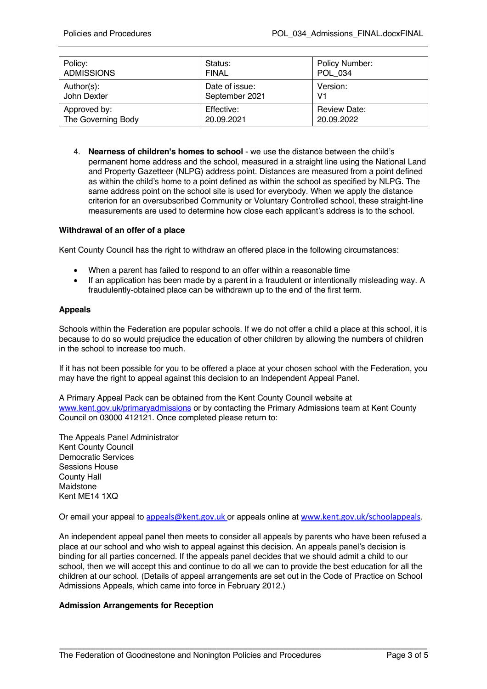| Policy:            | Status:        | Policy Number:      |
|--------------------|----------------|---------------------|
| <b>ADMISSIONS</b>  | <b>FINAL</b>   | POL 034             |
| Author(s):         | Date of issue: | Version:            |
| John Dexter        | September 2021 | V1                  |
| Approved by:       | Effective:     | <b>Review Date:</b> |
| The Governing Body | 20.09.2021     | 20.09.2022          |

4. **Nearness of children's homes to school** - we use the distance between the child's permanent home address and the school, measured in a straight line using the National Land and Property Gazetteer (NLPG) address point. Distances are measured from a point defined as within the child's home to a point defined as within the school as specified by NLPG. The same address point on the school site is used for everybody. When we apply the distance criterion for an oversubscribed Community or Voluntary Controlled school, these straight-line measurements are used to determine how close each applicant's address is to the school.

## **Withdrawal of an offer of a place**

Kent County Council has the right to withdraw an offered place in the following circumstances:

- When a parent has failed to respond to an offer within a reasonable time
- If an application has been made by a parent in a fraudulent or intentionally misleading way. A fraudulently-obtained place can be withdrawn up to the end of the first term.

#### **Appeals**

Schools within the Federation are popular schools. If we do not offer a child a place at this school, it is because to do so would prejudice the education of other children by allowing the numbers of children in the school to increase too much.

If it has not been possible for you to be offered a place at your chosen school with the Federation, you may have the right to appeal against this decision to an Independent Appeal Panel.

A Primary Appeal Pack can be obtained from the Kent County Council website at www.kent.gov.uk/primaryadmissions or by contacting the Primary Admissions team at Kent County Council on 03000 412121. Once completed please return to:

The Appeals Panel Administrator Kent County Council Democratic Services Sessions House County Hall Maidstone Kent ME14 1XQ

Or email your appeal to appeals@kent.gov.uk or appeals online at www.kent.gov.uk/schoolappeals.

An independent appeal panel then meets to consider all appeals by parents who have been refused a place at our school and who wish to appeal against this decision. An appeals panel's decision is binding for all parties concerned. If the appeals panel decides that we should admit a child to our school, then we will accept this and continue to do all we can to provide the best education for all the children at our school. (Details of appeal arrangements are set out in the Code of Practice on School Admissions Appeals, which came into force in February 2012.)

\_\_\_\_\_\_\_\_\_\_\_\_\_\_\_\_\_\_\_\_\_\_\_\_\_\_\_\_\_\_\_\_\_\_\_\_\_\_\_\_\_\_\_\_\_\_\_\_\_\_\_\_\_\_\_\_\_\_\_\_\_\_\_\_\_\_\_\_\_\_\_\_\_\_\_\_\_\_\_\_\_\_

#### **Admission Arrangements for Reception**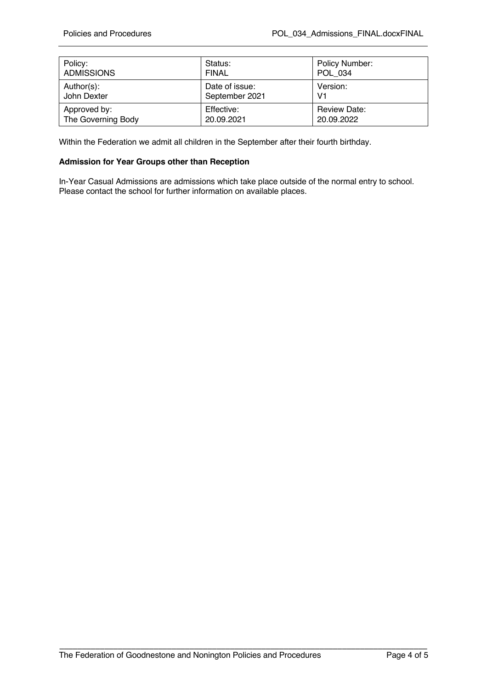| Policy:            | Status:        | Policy Number:      |
|--------------------|----------------|---------------------|
| <b>ADMISSIONS</b>  | <b>FINAL</b>   | POL 034             |
| Author(s):         | Date of issue: | Version:            |
| John Dexter        | September 2021 | V1                  |
| Approved by:       | Effective:     | <b>Review Date:</b> |
| The Governing Body | 20.09.2021     | 20.09.2022          |

Within the Federation we admit all children in the September after their fourth birthday.

### **Admission for Year Groups other than Reception**

In-Year Casual Admissions are admissions which take place outside of the normal entry to school. Please contact the school for further information on available places.